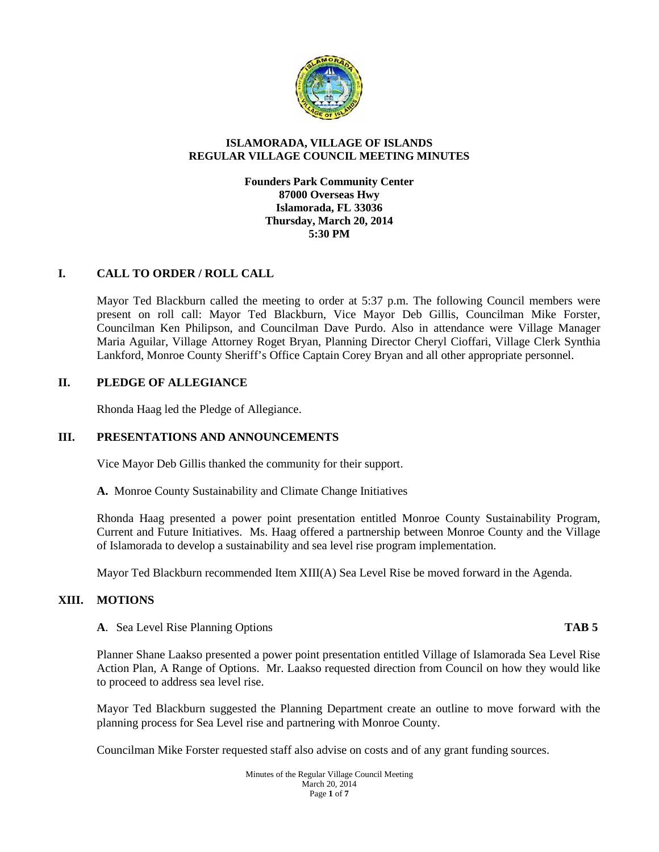

#### **ISLAMORADA, VILLAGE OF ISLANDS REGULAR VILLAGE COUNCIL MEETING MINUTES**

**Founders Park Community Center 87000 Overseas Hwy Islamorada, FL 33036 Thursday, March 20, 2014 5:30 PM**

# **I. CALL TO ORDER / ROLL CALL**

Mayor Ted Blackburn called the meeting to order at 5:37 p.m. The following Council members were present on roll call: Mayor Ted Blackburn, Vice Mayor Deb Gillis, Councilman Mike Forster, Councilman Ken Philipson, and Councilman Dave Purdo. Also in attendance were Village Manager Maria Aguilar, Village Attorney Roget Bryan, Planning Director Cheryl Cioffari, Village Clerk Synthia Lankford, Monroe County Sheriff's Office Captain Corey Bryan and all other appropriate personnel.

# **II. PLEDGE OF ALLEGIANCE**

Rhonda Haag led the Pledge of Allegiance.

# **III. PRESENTATIONS AND ANNOUNCEMENTS**

Vice Mayor Deb Gillis thanked the community for their support.

**A.** Monroe County Sustainability and Climate Change Initiatives

Rhonda Haag presented a power point presentation entitled Monroe County Sustainability Program, Current and Future Initiatives. Ms. Haag offered a partnership between Monroe County and the Village of Islamorada to develop a sustainability and sea level rise program implementation.

Mayor Ted Blackburn recommended Item XIII(A) Sea Level Rise be moved forward in the Agenda.

### **XIII. MOTIONS**

#### **A**. Sea Level Rise Planning Options **TAB 5**

Planner Shane Laakso presented a power point presentation entitled Village of Islamorada Sea Level Rise Action Plan, A Range of Options. Mr. Laakso requested direction from Council on how they would like to proceed to address sea level rise.

Mayor Ted Blackburn suggested the Planning Department create an outline to move forward with the planning process for Sea Level rise and partnering with Monroe County.

Councilman Mike Forster requested staff also advise on costs and of any grant funding sources.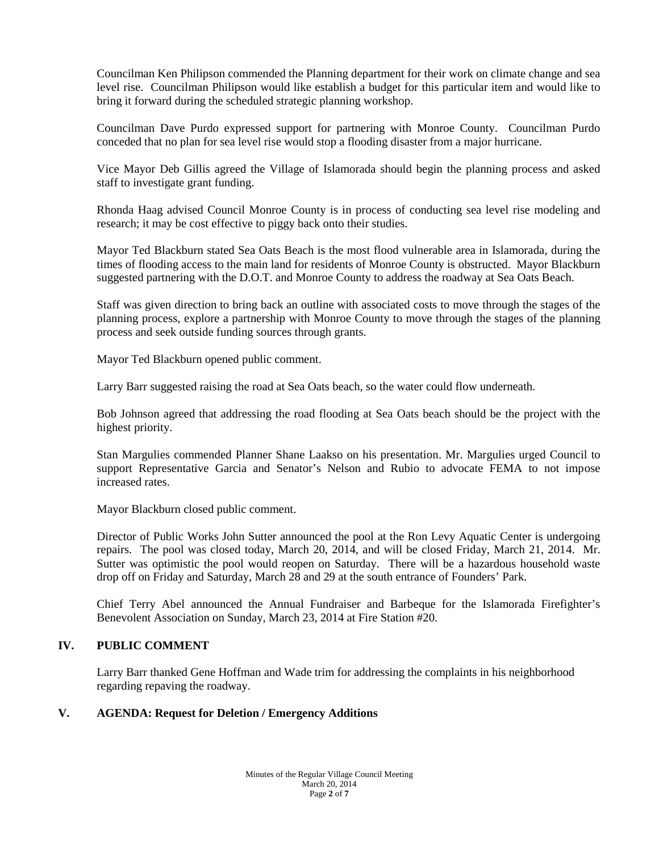Councilman Ken Philipson commended the Planning department for their work on climate change and sea level rise. Councilman Philipson would like establish a budget for this particular item and would like to bring it forward during the scheduled strategic planning workshop.

Councilman Dave Purdo expressed support for partnering with Monroe County. Councilman Purdo conceded that no plan for sea level rise would stop a flooding disaster from a major hurricane.

Vice Mayor Deb Gillis agreed the Village of Islamorada should begin the planning process and asked staff to investigate grant funding.

Rhonda Haag advised Council Monroe County is in process of conducting sea level rise modeling and research; it may be cost effective to piggy back onto their studies.

Mayor Ted Blackburn stated Sea Oats Beach is the most flood vulnerable area in Islamorada, during the times of flooding access to the main land for residents of Monroe County is obstructed. Mayor Blackburn suggested partnering with the D.O.T. and Monroe County to address the roadway at Sea Oats Beach.

Staff was given direction to bring back an outline with associated costs to move through the stages of the planning process, explore a partnership with Monroe County to move through the stages of the planning process and seek outside funding sources through grants.

Mayor Ted Blackburn opened public comment.

Larry Barr suggested raising the road at Sea Oats beach, so the water could flow underneath.

Bob Johnson agreed that addressing the road flooding at Sea Oats beach should be the project with the highest priority.

Stan Margulies commended Planner Shane Laakso on his presentation. Mr. Margulies urged Council to support Representative Garcia and Senator's Nelson and Rubio to advocate FEMA to not impose increased rates.

Mayor Blackburn closed public comment.

Director of Public Works John Sutter announced the pool at the Ron Levy Aquatic Center is undergoing repairs. The pool was closed today, March 20, 2014, and will be closed Friday, March 21, 2014. Mr. Sutter was optimistic the pool would reopen on Saturday. There will be a hazardous household waste drop off on Friday and Saturday, March 28 and 29 at the south entrance of Founders' Park.

Chief Terry Abel announced the Annual Fundraiser and Barbeque for the Islamorada Firefighter's Benevolent Association on Sunday, March 23, 2014 at Fire Station #20.

# **IV. PUBLIC COMMENT**

Larry Barr thanked Gene Hoffman and Wade trim for addressing the complaints in his neighborhood regarding repaving the roadway.

# **V. AGENDA: Request for Deletion / Emergency Additions**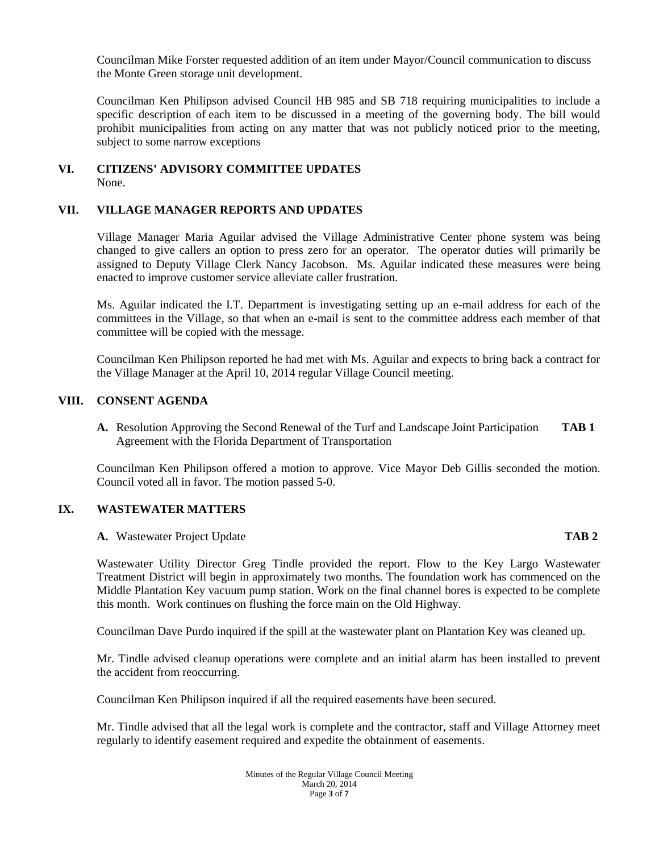Councilman Mike Forster requested addition of an item under Mayor/Council communication to discuss the Monte Green storage unit development.

Councilman Ken Philipson advised Council HB 985 and SB 718 requiring municipalities to include a specific description of each item to be discussed in a meeting of the governing body. The bill would prohibit municipalities from acting on any matter that was not publicly noticed prior to the meeting, subject to some narrow exceptions

#### **VI. CITIZENS' ADVISORY COMMITTEE UPDATES** None.

### **VII. VILLAGE MANAGER REPORTS AND UPDATES**

Village Manager Maria Aguilar advised the Village Administrative Center phone system was being changed to give callers an option to press zero for an operator. The operator duties will primarily be assigned to Deputy Village Clerk Nancy Jacobson. Ms. Aguilar indicated these measures were being enacted to improve customer service alleviate caller frustration.

Ms. Aguilar indicated the I.T. Department is investigating setting up an e-mail address for each of the committees in the Village, so that when an e-mail is sent to the committee address each member of that committee will be copied with the message.

Councilman Ken Philipson reported he had met with Ms. Aguilar and expects to bring back a contract for the Village Manager at the April 10, 2014 regular Village Council meeting.

#### **VIII. CONSENT AGENDA**

**A.** Resolution Approving the Second Renewal of the Turf and Landscape Joint Participation **TAB 1** Agreement with the Florida Department of Transportation

Councilman Ken Philipson offered a motion to approve. Vice Mayor Deb Gillis seconded the motion. Council voted all in favor. The motion passed 5-0.

### **IX. WASTEWATER MATTERS**

#### **A.** Wastewater Project Update **TAB 2**

## Wastewater Utility Director Greg Tindle provided the report. Flow to the Key Largo Wastewater Treatment District will begin in approximately two months. The foundation work has commenced on the Middle Plantation Key vacuum pump station. Work on the final channel bores is expected to be complete this month. Work continues on flushing the force main on the Old Highway.

Councilman Dave Purdo inquired if the spill at the wastewater plant on Plantation Key was cleaned up.

Mr. Tindle advised cleanup operations were complete and an initial alarm has been installed to prevent the accident from reoccurring.

Councilman Ken Philipson inquired if all the required easements have been secured.

Mr. Tindle advised that all the legal work is complete and the contractor, staff and Village Attorney meet regularly to identify easement required and expedite the obtainment of easements.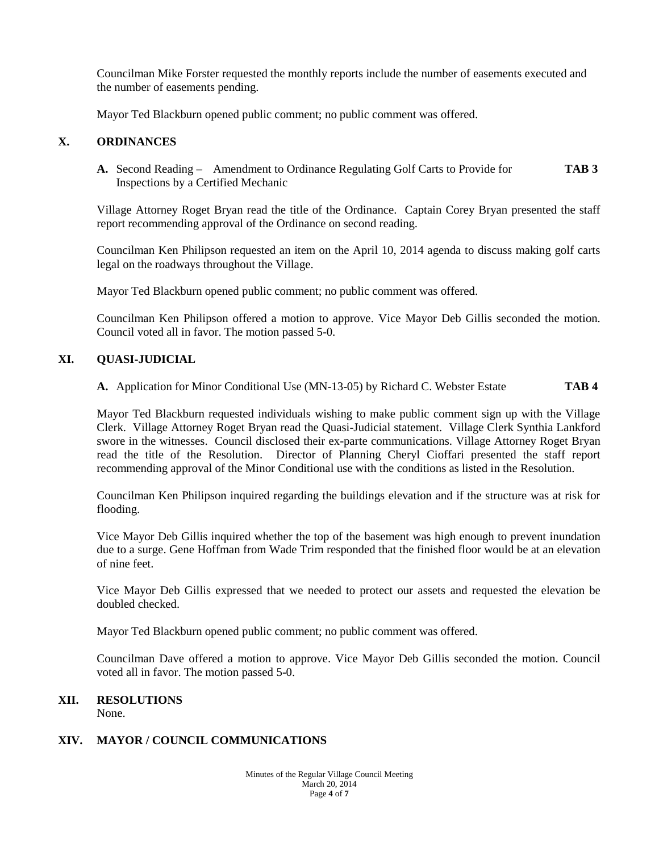Councilman Mike Forster requested the monthly reports include the number of easements executed and the number of easements pending.

Mayor Ted Blackburn opened public comment; no public comment was offered.

# **X. ORDINANCES**

**A.** Second Reading – Amendment to Ordinance Regulating Golf Carts to Provide for **TAB 3** Inspections by a Certified Mechanic

Village Attorney Roget Bryan read the title of the Ordinance. Captain Corey Bryan presented the staff report recommending approval of the Ordinance on second reading.

Councilman Ken Philipson requested an item on the April 10, 2014 agenda to discuss making golf carts legal on the roadways throughout the Village.

Mayor Ted Blackburn opened public comment; no public comment was offered.

Councilman Ken Philipson offered a motion to approve. Vice Mayor Deb Gillis seconded the motion. Council voted all in favor. The motion passed 5-0.

### **XI. QUASI-JUDICIAL**

**A.** Application for Minor Conditional Use (MN-13-05) by Richard C. Webster Estate **TAB 4**

Mayor Ted Blackburn requested individuals wishing to make public comment sign up with the Village Clerk. Village Attorney Roget Bryan read the Quasi-Judicial statement. Village Clerk Synthia Lankford swore in the witnesses. Council disclosed their ex-parte communications. Village Attorney Roget Bryan read the title of the Resolution. Director of Planning Cheryl Cioffari presented the staff report recommending approval of the Minor Conditional use with the conditions as listed in the Resolution.

Councilman Ken Philipson inquired regarding the buildings elevation and if the structure was at risk for flooding.

Vice Mayor Deb Gillis inquired whether the top of the basement was high enough to prevent inundation due to a surge. Gene Hoffman from Wade Trim responded that the finished floor would be at an elevation of nine feet.

Vice Mayor Deb Gillis expressed that we needed to protect our assets and requested the elevation be doubled checked.

Mayor Ted Blackburn opened public comment; no public comment was offered.

Councilman Dave offered a motion to approve. Vice Mayor Deb Gillis seconded the motion. Council voted all in favor. The motion passed 5-0.

# **XII. RESOLUTIONS**

None.

### **XIV. MAYOR / COUNCIL COMMUNICATIONS**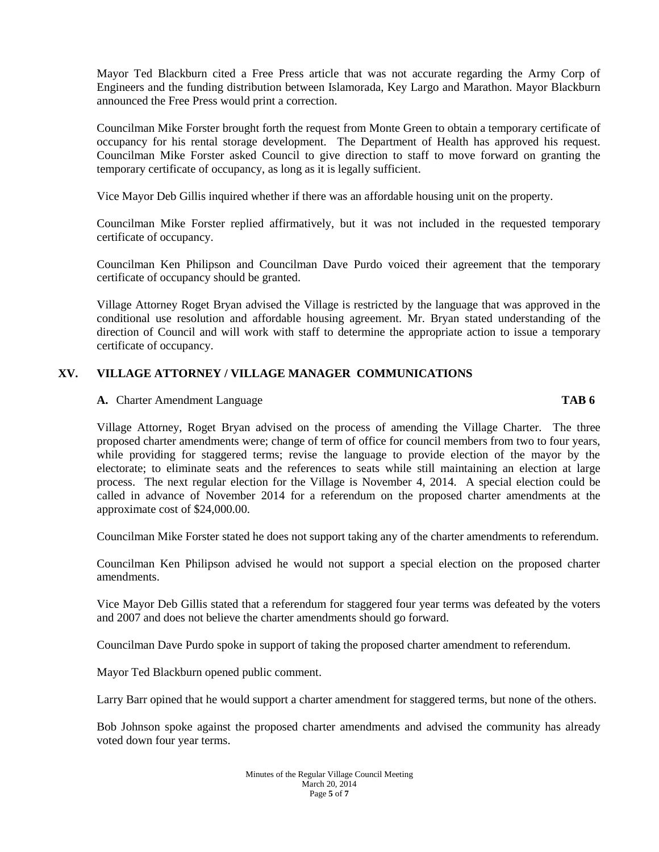Mayor Ted Blackburn cited a Free Press article that was not accurate regarding the Army Corp of Engineers and the funding distribution between Islamorada, Key Largo and Marathon. Mayor Blackburn announced the Free Press would print a correction.

Councilman Mike Forster brought forth the request from Monte Green to obtain a temporary certificate of occupancy for his rental storage development. The Department of Health has approved his request. Councilman Mike Forster asked Council to give direction to staff to move forward on granting the temporary certificate of occupancy, as long as it is legally sufficient.

Vice Mayor Deb Gillis inquired whether if there was an affordable housing unit on the property.

Councilman Mike Forster replied affirmatively, but it was not included in the requested temporary certificate of occupancy.

Councilman Ken Philipson and Councilman Dave Purdo voiced their agreement that the temporary certificate of occupancy should be granted.

Village Attorney Roget Bryan advised the Village is restricted by the language that was approved in the conditional use resolution and affordable housing agreement. Mr. Bryan stated understanding of the direction of Council and will work with staff to determine the appropriate action to issue a temporary certificate of occupancy.

# **XV. VILLAGE ATTORNEY / VILLAGE MANAGER COMMUNICATIONS**

#### **A.** Charter Amendment Language **TAB 6**

Village Attorney, Roget Bryan advised on the process of amending the Village Charter. The three proposed charter amendments were; change of term of office for council members from two to four years, while providing for staggered terms; revise the language to provide election of the mayor by the electorate; to eliminate seats and the references to seats while still maintaining an election at large process. The next regular election for the Village is November 4, 2014. A special election could be called in advance of November 2014 for a referendum on the proposed charter amendments at the approximate cost of \$24,000.00.

Councilman Mike Forster stated he does not support taking any of the charter amendments to referendum.

Councilman Ken Philipson advised he would not support a special election on the proposed charter amendments.

Vice Mayor Deb Gillis stated that a referendum for staggered four year terms was defeated by the voters and 2007 and does not believe the charter amendments should go forward.

Councilman Dave Purdo spoke in support of taking the proposed charter amendment to referendum.

Mayor Ted Blackburn opened public comment.

Larry Barr opined that he would support a charter amendment for staggered terms, but none of the others.

Bob Johnson spoke against the proposed charter amendments and advised the community has already voted down four year terms.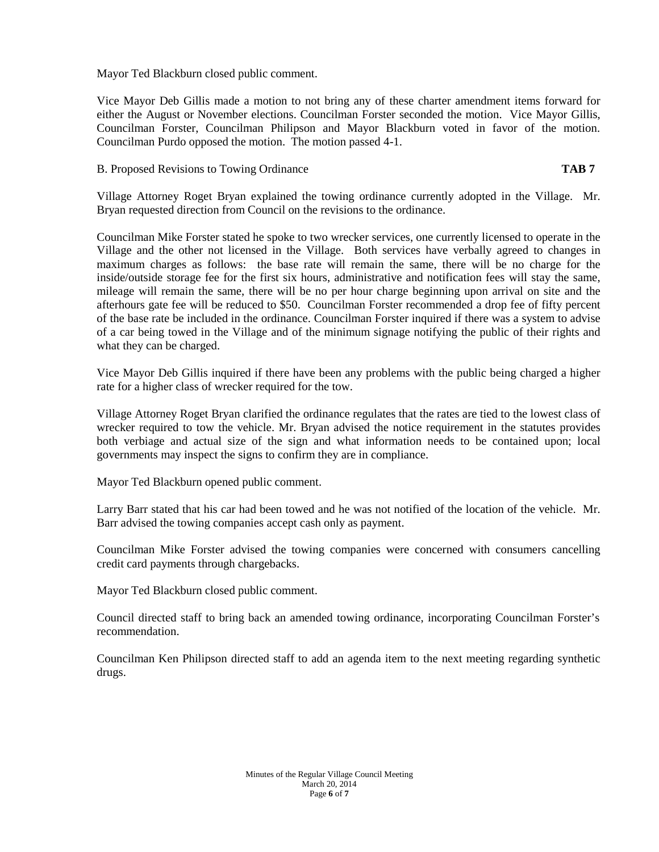Mayor Ted Blackburn closed public comment.

Vice Mayor Deb Gillis made a motion to not bring any of these charter amendment items forward for either the August or November elections. Councilman Forster seconded the motion. Vice Mayor Gillis, Councilman Forster, Councilman Philipson and Mayor Blackburn voted in favor of the motion. Councilman Purdo opposed the motion. The motion passed 4-1.

B. Proposed Revisions to Towing Ordinance **TAB 7**

Village Attorney Roget Bryan explained the towing ordinance currently adopted in the Village. Mr. Bryan requested direction from Council on the revisions to the ordinance.

Councilman Mike Forster stated he spoke to two wrecker services, one currently licensed to operate in the Village and the other not licensed in the Village. Both services have verbally agreed to changes in maximum charges as follows: the base rate will remain the same, there will be no charge for the inside/outside storage fee for the first six hours, administrative and notification fees will stay the same, mileage will remain the same, there will be no per hour charge beginning upon arrival on site and the afterhours gate fee will be reduced to \$50. Councilman Forster recommended a drop fee of fifty percent of the base rate be included in the ordinance. Councilman Forster inquired if there was a system to advise of a car being towed in the Village and of the minimum signage notifying the public of their rights and what they can be charged.

Vice Mayor Deb Gillis inquired if there have been any problems with the public being charged a higher rate for a higher class of wrecker required for the tow.

Village Attorney Roget Bryan clarified the ordinance regulates that the rates are tied to the lowest class of wrecker required to tow the vehicle. Mr. Bryan advised the notice requirement in the statutes provides both verbiage and actual size of the sign and what information needs to be contained upon; local governments may inspect the signs to confirm they are in compliance.

Mayor Ted Blackburn opened public comment.

Larry Barr stated that his car had been towed and he was not notified of the location of the vehicle. Mr. Barr advised the towing companies accept cash only as payment.

Councilman Mike Forster advised the towing companies were concerned with consumers cancelling credit card payments through chargebacks.

Mayor Ted Blackburn closed public comment.

Council directed staff to bring back an amended towing ordinance, incorporating Councilman Forster's recommendation.

Councilman Ken Philipson directed staff to add an agenda item to the next meeting regarding synthetic drugs.